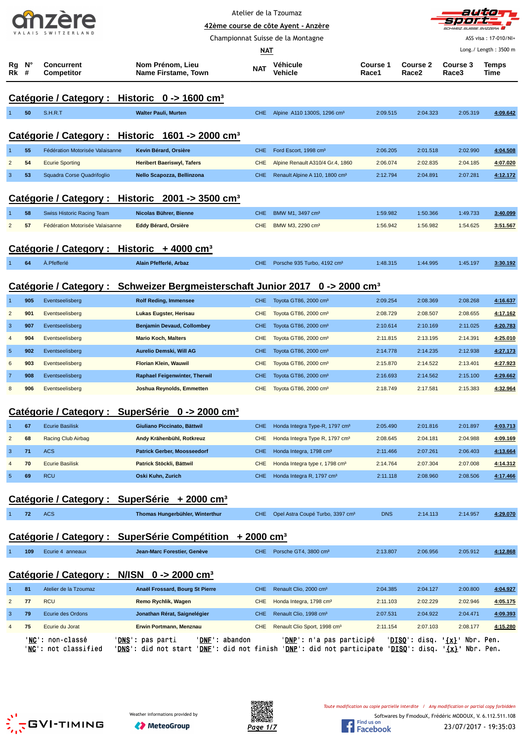|  |  |  |  | $\blacksquare$     |  |  |  |  |  |
|--|--|--|--|--------------------|--|--|--|--|--|
|  |  |  |  | VALAIS SWITZERLAND |  |  |  |  |  |



ASS visa : 17-010/NI+

Championnat Suisse de la Montagne

|                |     |                                                   |                                                                                                                                           | NAT        |                                              |                          |                                      |                                                 | Long./ Length: 3500 m |
|----------------|-----|---------------------------------------------------|-------------------------------------------------------------------------------------------------------------------------------------------|------------|----------------------------------------------|--------------------------|--------------------------------------|-------------------------------------------------|-----------------------|
| Rg<br>Rk #     | N'  | <b>Concurrent</b><br><b>Competitor</b>            | Nom Prénom, Lieu<br>Name Firstame, Town                                                                                                   | <b>NAT</b> | Véhicule<br>Vehicle                          | <b>Course 1</b><br>Race1 | <b>Course 2</b><br>Race <sub>2</sub> | Course 3<br>Race3                               | <b>Temps</b><br>Time  |
|                |     |                                                   | Catégorie / Category : Historic 0 -> 1600 cm <sup>3</sup>                                                                                 |            |                                              |                          |                                      |                                                 |                       |
|                | 50  | S.H.R.T                                           | <b>Walter Pauli, Murten</b>                                                                                                               | CHE.       | Alpine A110 1300S, 1296 cm <sup>3</sup>      | 2:09.515                 | 2:04.323                             | 2:05.319                                        | 4:09.642              |
|                |     |                                                   | Catégorie / Category : Historic 1601 -> 2000 cm <sup>3</sup>                                                                              |            |                                              |                          |                                      |                                                 |                       |
|                | 55  | Fédération Motorisée Valaisanne                   | Kevin Bérard, Orsière                                                                                                                     | <b>CHE</b> | Ford Escort, 1998 cm <sup>3</sup>            | 2:06.205                 | 2:01.518                             | 2:02.990                                        | 4:04.508              |
| $\overline{2}$ | 54  | <b>Ecurie Sporting</b>                            | <b>Heribert Baeriswyl, Tafers</b>                                                                                                         | <b>CHE</b> | Alpine Renault A310/4 Gr.4, 1860             | 2:06.074                 | 2:02.835                             | 2:04.185                                        | 4:07.020              |
| 3              | 53  | Squadra Corse Quadrifoglio                        | Nello Scapozza, Bellinzona                                                                                                                | <b>CHE</b> | Renault Alpine A 110, 1800 cm <sup>3</sup>   | 2:12.794                 | 2:04.891                             | 2:07.281                                        | 4:12.172              |
|                |     | Catégorie / Category :                            | Historic 2001 -> 3500 cm <sup>3</sup>                                                                                                     |            |                                              |                          |                                      |                                                 |                       |
|                | 58  | Swiss Historic Racing Team                        | Nicolas Bührer, Bienne                                                                                                                    | <b>CHE</b> | BMW M1, 3497 cm <sup>3</sup>                 | 1:59.982                 | 1:50.366                             | 1:49.733                                        | 3:40.099              |
| $\overline{c}$ | 57  | Fédération Motorisée Valaisanne                   | Eddy Bérard, Orsière                                                                                                                      | <b>CHE</b> | BMW M3, 2290 cm <sup>3</sup>                 | 1:56.942                 | 1:56.982                             | 1:54.625                                        | 3:51.567              |
|                |     | Catégorie / Category :                            | Historic $+4000$ cm <sup>3</sup>                                                                                                          |            |                                              |                          |                                      |                                                 |                       |
|                | 64  | À.Pfefferlé                                       | Alain Pfefferlé, Arbaz                                                                                                                    | <b>CHE</b> | Porsche 935 Turbo, 4192 cm <sup>3</sup>      | 1:48.315                 | 1:44.995                             | 1:45.197                                        | 3:30.192              |
|                |     |                                                   | Catégorie / Category : Schweizer Bergmeisterschaft Junior 2017                                                                            |            | $0 - 2000$ cm <sup>3</sup>                   |                          |                                      |                                                 |                       |
| 1              | 905 | Eventseelisberg                                   | <b>Rolf Reding, Immensee</b>                                                                                                              | <b>CHE</b> | Toyota GT86, 2000 cm <sup>3</sup>            | 2:09.254                 | 2:08.369                             | 2:08.268                                        | 4:16.637              |
| $\overline{c}$ | 901 | Eventseelisberg                                   | <b>Lukas Eugster, Herisau</b>                                                                                                             | <b>CHE</b> | Toyota GT86, 2000 cm <sup>3</sup>            | 2:08.729                 | 2:08.507                             | 2:08.655                                        | 4:17.162              |
| 3              | 907 | Eventseelisberg                                   | <b>Benjamin Devaud, Collombey</b>                                                                                                         | <b>CHE</b> | Toyota GT86, 2000 cm <sup>3</sup>            | 2:10.614                 | 2:10.169                             | 2:11.025                                        | 4:20.783              |
| 4              | 904 | Eventseelisberg                                   | <b>Mario Koch, Malters</b>                                                                                                                | <b>CHE</b> | Toyota GT86, 2000 cm <sup>3</sup>            | 2:11.815                 | 2:13.195                             | 2:14.391                                        | 4:25.010              |
| 5              | 902 | Eventseelisberg                                   | Aurelio Demski, Will AG                                                                                                                   | <b>CHE</b> | Toyota GT86, 2000 cm <sup>3</sup>            | 2:14.778                 | 2:14.235                             | 2:12.938                                        | 4:27.173              |
| 6              | 903 | Eventseelisberg                                   | <b>Florian Klein, Wauwil</b>                                                                                                              | <b>CHE</b> | Toyota GT86, 2000 cm <sup>3</sup>            | 2:15.870                 | 2:14.522                             | 2:13.401                                        | 4:27.923              |
| $\overline{7}$ | 908 | Eventseelisberg                                   | <b>Raphael Feigenwinter, Therwil</b>                                                                                                      | <b>CHE</b> | Toyota GT86, 2000 cm <sup>3</sup>            | 2:16.693                 | 2:14.562                             | 2:15.100                                        | 4:29.662              |
| 8              | 906 | Eventseelisberg                                   | Joshua Reynolds, Emmetten                                                                                                                 | <b>CHE</b> | Toyota GT86, 2000 cm <sup>3</sup>            | 2:18.749                 | 2:17.581                             | 2:15.383                                        | 4:32.964              |
|                |     |                                                   | Catégorie / Category : SuperSérie 0 -> 2000 cm <sup>3</sup>                                                                               |            |                                              |                          |                                      |                                                 |                       |
|                | 67  | <b>Ecurie Basilisk</b>                            | Giuliano Piccinato, Bättwil                                                                                                               | <b>CHE</b> | Honda Integra Type-R, 1797 cm <sup>3</sup>   | 2:05.490                 | 2:01.816                             | 2:01.897                                        | 4:03.713              |
| $\overline{2}$ | 68  | <b>Racing Club Airbag</b>                         | Andy Krähenbühl, Rotkreuz                                                                                                                 | <b>CHE</b> | Honda Integra Type R, 1797 cm <sup>3</sup>   | 2:08.645                 | 2:04.181                             | 2:04.988                                        | 4:09.169              |
| 3              | 71  | <b>ACS</b>                                        | <b>Patrick Gerber, Moosseedorf</b>                                                                                                        | <b>CHE</b> | Honda Integra, 1798 cm <sup>3</sup>          | 2:11.466                 | 2:07.261                             | 2:06.403                                        | 4:13.664              |
| 4              | 70  | <b>Ecurie Basilisk</b>                            | Patrick Stöckli, Bättwil                                                                                                                  | <b>CHE</b> | Honda Integra type r, 1798 cm <sup>3</sup>   | 2:14.764                 | 2:07.304                             | 2:07.008                                        | 4:14.312              |
| 5              | 69  | <b>RCU</b>                                        | Oski Kuhn, Zurich                                                                                                                         | <b>CHE</b> | Honda Integra R, 1797 cm <sup>3</sup>        | 2:11.118                 | 2:08.960                             | 2:08.506                                        | 4:17.466              |
|                |     |                                                   | Catégorie / Category : SuperSérie + 2000 cm <sup>3</sup>                                                                                  |            |                                              |                          |                                      |                                                 |                       |
|                | 72  | <b>ACS</b>                                        | Thomas Hungerbühler, Winterthur                                                                                                           | <b>CHE</b> | Opel Astra Coupé Turbo, 3397 cm <sup>3</sup> | <b>DNS</b>               | 2:14.113                             | 2:14.957                                        | 4:29.070              |
|                |     |                                                   | Catégorie / Category : SuperSérie Compétition + 2000 cm <sup>3</sup>                                                                      |            |                                              |                          |                                      |                                                 |                       |
|                | 109 | Ecurie 4 anneaux                                  | Jean-Marc Forestier, Genève                                                                                                               | <b>CHE</b> | Porsche GT4, 3800 cm <sup>3</sup>            | 2:13.807                 | 2:06.956                             | 2:05.912                                        | 4:12.868              |
|                |     |                                                   |                                                                                                                                           |            |                                              |                          |                                      |                                                 |                       |
|                |     | Catégorie / Category :                            | N/ISN $0 - > 2000$ cm <sup>3</sup>                                                                                                        |            |                                              |                          |                                      |                                                 |                       |
| 1              | 81  | Atelier de la Tzoumaz                             | Anaël Frossard, Bourg St Pierre                                                                                                           | <b>CHE</b> | Renault Clio, 2000 cm <sup>3</sup>           | 2:04.385                 | 2:04.127                             | 2:00.800                                        | 4:04.927              |
| $\overline{2}$ | 77  | <b>RCU</b>                                        | Remo Rychlik, Wagen                                                                                                                       | <b>CHE</b> | Honda Integra, 1798 cm <sup>3</sup>          | 2:11.103                 | 2:02.229                             | 2:02.946                                        | 4:05.175              |
| 3              | 79  | Ecurie des Ordons                                 | Jonathan Rérat, Saignelégier                                                                                                              | <b>CHE</b> | Renault Clio, 1998 cm <sup>3</sup>           | 2:07.531                 | 2:04.922                             | 2:04.471                                        | 4:09.393              |
| 4              | 75  | Ecurie du Jorat                                   | Erwin Portmann, Menznau                                                                                                                   | CHE        | Renault Clio Sport, 1998 cm <sup>3</sup>     | 2:11.154                 | 2:07.103                             | 2:08.177                                        | 4:15.280              |
|                |     | ' <u>NC</u> ': non-classé<br>'NC': not classified | 'DNF': abandon<br>'DNS': pas parti<br>'DNS': did not start 'DNF': did not finish 'DNP': did not participate 'DISQ': disq. '{x}' Nbr. Pen. |            | ' <u>DNP</u> ': n'a pas participé            |                          |                                      | ' <u>DISQ</u> ': disq. ' <u>{x}</u> ' Nbr. Pen. |                       |





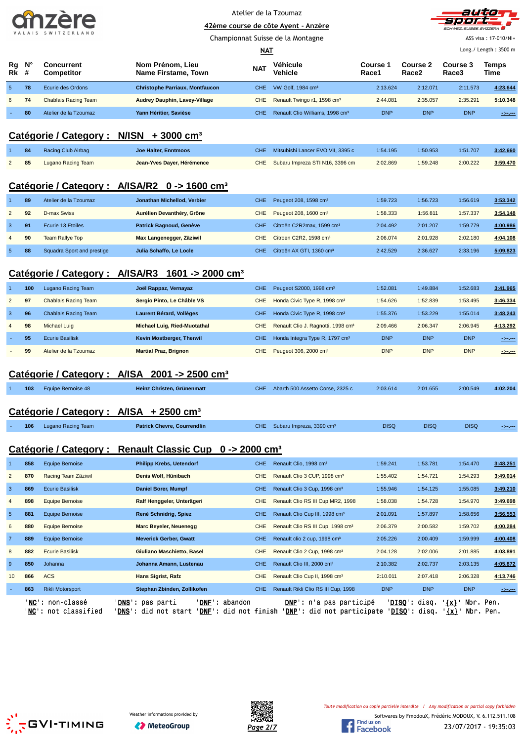



Championnat Suisse de la Montagne

ASS visa : 17-010/NI+ Long./ Length : 3500 m

|                                 | <u>NAT</u> |                             |                                         |            |                                             |                 | Long. / Length: $3500$ m      |                   |               |
|---------------------------------|------------|-----------------------------|-----------------------------------------|------------|---------------------------------------------|-----------------|-------------------------------|-------------------|---------------|
| $Rg$ $N^{\circ}$<br><b>Rk</b> # |            | Concurrent<br>Competitor    | Nom Prénom, Lieu<br>Name Firstame, Town | <b>NAT</b> | Véhicule<br><b>Vehicle</b>                  | Course<br>Race1 | Course 2<br>Race <sub>2</sub> | Course 3<br>Race3 | Temps<br>Time |
| 5 <sup>1</sup>                  | 78         | Ecurie des Ordons           | <b>Christophe Parriaux, Montfaucon</b>  | CHE.       | VW Golf, $1984 \text{ cm}^3$                | 2:13.624        | 2:12.071                      | 2:11.573          | 4:23.644      |
| $6^{\circ}$                     | 74         | <b>Chablais Racing Team</b> | <b>Audrey Dauphin, Lavey-Village</b>    | CHE.       | Renault Twingo r1, 1598 cm <sup>3</sup>     | 2:44.081        | 2:35.057                      | 2:35.291          | 5:10.348      |
|                                 | 80         | Atelier de la Tzoumaz       | Yann Héritier, Savièse                  | CHE.       | Renault Clio Williams, 1998 cm <sup>3</sup> | <b>DNP</b>      | <b>DNP</b>                    | <b>DNP</b>        | $-200$        |

## **Catégorie / Category : N/ISN + 3000 cm³**

| 84 | Racing Club Airbag | Joe Halter, Enntmoos       | CHE Mitsubishi Lancer EVO VII, 3395 c | 1:54.195 | 1:50.953 | 1:51.707 | 3:42.660 |
|----|--------------------|----------------------------|---------------------------------------|----------|----------|----------|----------|
| 85 | Lugano Racing Team | Jean-Yves Dayer, Hérémence | CHE Subaru Impreza STI N16, 3396 cm   | 2:02.869 | 1:59.248 | 2:00.222 | 3:59.470 |

#### **Catégorie / Category : A/ISA/R2 0 -> 1600 cm³**

|                | 89 | Atelier de la Tzoumaz      | Jonathan Michellod, Verbier |      | CHE Peugeot 208, 1598 cm <sup>3</sup> | 1:59.723 | 1:56.723 | 1:56.619 | 3:53.342 |
|----------------|----|----------------------------|-----------------------------|------|---------------------------------------|----------|----------|----------|----------|
| 2              | 92 | D-max Swiss                | Aurélien Devanthéry, Grône  | CHE  | Peugeot 208, 1600 cm <sup>3</sup>     | 1:58.333 | 1:56.811 | 1:57.337 | 3:54.148 |
| 3              | 91 | Ecurie 13 Etoiles          | Patrick Bagnoud, Genève     | CHE  | Citroën C2R2max, 1599 cm <sup>3</sup> | 2:04.492 | 2:01.207 | 1:59.779 | 4:00.986 |
| $\overline{4}$ | 90 | <b>Team Rallye Top</b>     | Max Langenegger, Zäziwil    | CHE  | Citroen C2R2, 1598 cm <sup>3</sup>    | 2:06.074 | 2:01.928 | 2:02.180 | 4:04.108 |
| 5              | 88 | Squadra Sport and prestige | Julia Schaffo, Le Locle     | CHE. | Citroën AX GTI, 1360 cm <sup>3</sup>  | 2:42.529 | 2:36.627 | 2:33.196 | 5:09.823 |

#### **Catégorie / Category : A/ISA/R3 1601 -> 2000 cm³**

|                | 100 | Lugano Racing Team     | Joël Rappaz, Vernayaz        | CHE. | Peugeot S2000, 1998 cm <sup>3</sup>            | 1:52.081   | 1:49.884   | 1:52.683   | 3:41.965         |
|----------------|-----|------------------------|------------------------------|------|------------------------------------------------|------------|------------|------------|------------------|
| $\overline{2}$ | 97  | Chablais Racing Team   | Sergio Pinto, Le Châble VS   | CHE. | Honda Civic Type R, 1998 cm <sup>3</sup>       | 1:54.626   | 1:52.839   | 1:53.495   | 3:46.334         |
| 3              | 96  | Chablais Racing Team   | Laurent Bérard, Vollèges     | CHE. | Honda Civic Type R, 1998 cm <sup>3</sup>       | 1:55.376   | 1:53.229   | 1:55.014   | 3:48.243         |
| 4              | 98  | Michael Luig           | Michael Luig, Ried-Muotathal | CHE. | Renault Clio J. Ragnotti, 1998 cm <sup>3</sup> | 2:09.466   | 2:06.347   | 2:06.945   | 4:13.292         |
|                | 95  | <b>Ecurie Basilisk</b> | Kevin Mostberger, Therwil    | CHE. | Honda Integra Type R, 1797 cm <sup>3</sup>     | <b>DNP</b> | <b>DNP</b> | <b>DNP</b> | $\sim$ 000 $\mu$ |
|                | 99  | Atelier de la Tzoumaz  | <b>Martial Praz, Brignon</b> | CHE. | Peugeot 306, 2000 cm <sup>3</sup>              | <b>DNP</b> | <b>DNP</b> | <b>DNP</b> |                  |

# **Catégorie / Category : A/ISA 2001 -> 2500 cm³**

|  |  | 103 Equipe Bernoise 48 | Heinz Christen, Grünenmatt |  | CHE Abarth 500 Assetto Corse, 2325 c | 2:03.614 | 2:01.655 | 2:00.549 | 4:02.204 |
|--|--|------------------------|----------------------------|--|--------------------------------------|----------|----------|----------|----------|
|--|--|------------------------|----------------------------|--|--------------------------------------|----------|----------|----------|----------|

### **Catégorie / Category : A/ISA + 2500 cm³**

| 106 | Lugano Racing Team | <b>Patrick Chevre, Courrendlin</b> | CHE Subaru Impreza, 3390 cm <sup>3</sup> | <b>DISQ</b> |  | <b>DISQ</b> | ---- |
|-----|--------------------|------------------------------------|------------------------------------------|-------------|--|-------------|------|
|-----|--------------------|------------------------------------|------------------------------------------|-------------|--|-------------|------|

## **Catégorie / Category : Renault Classic Cup 0 -> 2000 cm³**

|                | 858 | Equipe Bernoise                          | <b>Philipp Krebs, Uetendorf</b>                                                                                      | CHE.       | Renault Clio, 1998 cm <sup>3</sup>                             | 1:59.241   | 1:53.781                                      | 1:54.470                                           | 3:48.251      |
|----------------|-----|------------------------------------------|----------------------------------------------------------------------------------------------------------------------|------------|----------------------------------------------------------------|------------|-----------------------------------------------|----------------------------------------------------|---------------|
| $\overline{2}$ | 870 | Racing Team Zäziwil                      | Denis Wolf, Hünibach                                                                                                 | <b>CHE</b> | Renault Clio 3 CUP, 1998 cm <sup>3</sup>                       | 1:55.402   | 1:54.721                                      | 1:54.293                                           | 3:49.014      |
| 3 <sup>5</sup> | 869 | <b>Ecurie Basilisk</b>                   | <b>Daniel Borer, Mumpf</b>                                                                                           | CHE.       | Renault Clio 3 Cup, 1998 cm <sup>3</sup>                       | 1:55.946   | 1:54.125                                      | 1:55.085                                           | 3:49.210      |
| $\overline{4}$ | 898 | <b>Equipe Bernoise</b>                   | Ralf Henggeler, Unterägeri                                                                                           | <b>CHE</b> | Renault Clio RS III Cup MR2, 1998                              | 1:58.038   | 1:54.728                                      | 1:54.970                                           | 3:49.698      |
| $5\phantom{1}$ | 881 | Equipe Bernoise                          | René Schnidrig, Spiez                                                                                                | CHE        | Renault Clio Cup III, 1998 cm <sup>3</sup>                     | 2:01.091   | 1:57.897                                      | 1:58.656                                           | 3:56.553      |
| 6              | 880 | <b>Equipe Bernoise</b>                   | <b>Marc Beyeler, Neuenegg</b>                                                                                        | <b>CHE</b> | Renault Clio RS III Cup, 1998 cm <sup>3</sup>                  | 2:06.379   | 2:00.582                                      | 1:59.702                                           | 4:00.284      |
| $\overline{7}$ | 889 | Equipe Bernoise                          | <b>Meverick Gerber, Gwatt</b>                                                                                        | <b>CHE</b> | Renault clio 2 cup, 1998 cm <sup>3</sup>                       | 2:05.226   | 2:00.409                                      | 1:59.999                                           | 4:00.408      |
| 8              | 882 | <b>Ecurie Basilisk</b>                   | Giuliano Maschietto, Basel                                                                                           | <b>CHE</b> | Renault Clio 2 Cup, 1998 cm <sup>3</sup>                       | 2:04.128   | 2:02.006                                      | 2:01.885                                           | 4:03.891      |
| 9              | 850 | Johanna                                  | Johanna Amann, Lustenau                                                                                              | CHE.       | Renault Clio III, 2000 cm <sup>3</sup>                         | 2:10.382   | 2:02.737                                      | 2:03.135                                           | 4:05.872      |
| 10             | 866 | <b>ACS</b>                               | <b>Hans Sigrist, Rafz</b>                                                                                            | <b>CHE</b> | Renault Clio Cup II, 1998 cm <sup>3</sup>                      | 2:10.011   | 2:07.418                                      | 2:06.328                                           | 4:13.746      |
|                | 863 | <b>Rikli Motorsport</b>                  | Stephan Zbinden, Zollikofen                                                                                          | CHE.       | Renault Rikli Clio RS III Cup, 1998                            | <b>DNP</b> | <b>DNP</b>                                    | <b>DNP</b>                                         | $\sim$ masses |
|                |     | 'NC': non-classé<br>'NC': not classified | ' <mark>DNS</mark> ': pas parti<br>'DNF': abandon<br>' <b>DNS</b> ': did not start<br>' <b>DNF</b> ': did not finish |            | ' <u>DNP</u> ': n'a pas participé<br>DNP': did not participate |            | ' <b>DISO</b> ': disq.<br><b>DISO':</b> disq. | $\{x\}$ .<br>Nbr. Pen.<br>$'$ {x} $'$<br>Nbr. Pen. |               |



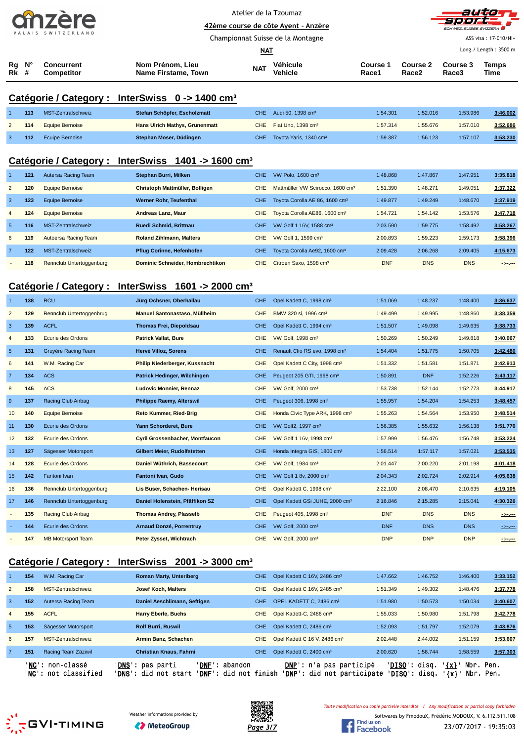



Championnat Suisse de la Montagne

**NAT**

ASS visa : 17-010/NI+

Long./ Length : 3500 m

| $Ra$ $N^{\circ}$<br><b>Rk</b> # | Concurrent<br>Competitor | Nom Prénom. Lieu<br>Name Firstame, Town | <b>NAT</b> | Véhicule<br>Vehicle | Course 1<br>Race1 | Course 2 Course 3<br>Race2 | Race3 | Temps<br>Time |
|---------------------------------|--------------------------|-----------------------------------------|------------|---------------------|-------------------|----------------------------|-------|---------------|

### **Catégorie / Category : InterSwiss 0 -> 1400 cm³**

| 113 | MST-Zentralschweiz     | Stefan Schöpfer, Escholzmatt          | CHE Audi 50, 1398 cm <sup>3</sup>      | 1:54.301 | 1:52.016 | 1:53.986 | 3:46.002 |
|-----|------------------------|---------------------------------------|----------------------------------------|----------|----------|----------|----------|
| 114 | <b>Equipe Bernoise</b> | <b>Hans Ulrich Mathys, Grünenmatt</b> | CHE Fiat Uno, 1398 cm <sup>3</sup>     | 1:57.314 | 1:55.676 | 1:57.010 | 3:52.686 |
| 112 | <b>Ecuipe Bernoise</b> | Stephan Moser, Düdingen               | CHE Toyota Yaris, 1340 cm <sup>3</sup> | 1:59.387 | 1:56.123 | 1:57.107 | 3:53.230 |

## **Catégorie / Category : InterSwiss 1401 -> 1600 cm³**

|                          | 121 | Autersa Racing Team      | <b>Stephan Burri, Milken</b>            | <b>CHE</b> | VW Polo, 1600 cm <sup>3</sup>                | 1:48.868   | 1:47.867   | 1:47.951   | 3:35.818 |
|--------------------------|-----|--------------------------|-----------------------------------------|------------|----------------------------------------------|------------|------------|------------|----------|
| $\overline{2}$           | 120 | <b>Equipe Bernoise</b>   | Christoph Mattmüller, Bolligen          | <b>CHE</b> | Mattmüller VW Scirocco, 1600 cm <sup>3</sup> | 1:51.390   | 1:48.271   | 1:49.051   | 3:37.322 |
| 3                        | 123 | Equipe Bernoise          | <b>Werner Rohr. Teufenthal</b>          | <b>CHE</b> | Toyota Corolla AE 86, 1600 cm <sup>3</sup>   | 1:49.877   | 1:49.249   | 1:48.670   | 3:37.919 |
| $\overline{4}$           | 124 | <b>Equipe Bernoise</b>   | <b>Andreas Lanz, Maur</b>               | <b>CHE</b> | Toyota Corolla AE86, 1600 cm <sup>3</sup>    | 1:54.721   | 1:54.142   | 1:53.576   | 3:47.718 |
| 5 <sub>1</sub>           | 116 | MST-Zentralschweiz       | <b>Ruedi Schmid, Brittnau</b>           | CHE        | VW Golf 1 16V, 1588 cm <sup>3</sup>          | 2:03.590   | 1:59.775   | 1:58.492   | 3:58.267 |
| 6                        | 119 | Autoersa Racing Team     | <b>Roland Zihlmann, Malters</b>         | <b>CHE</b> | VW Golf 1, 1599 cm <sup>3</sup>              | 2:00.893   | 1:59.223   | 1:59.173   | 3:58.396 |
|                          | 122 | MST-Zentralschweiz       | <b>Pflug Corinne, Hefenhofen</b>        | <b>CHE</b> | Toyota Corolla Ae92, 1600 cm <sup>3</sup>    | 2:09.428   | 2:06.268   | 2:09.405   | 4:15.673 |
| $\overline{\phantom{a}}$ | 118 | Rennclub Untertoggenburg | <b>Dominic Schneider, Hombrechtikon</b> | <b>CHE</b> | Citroen Saxo, 1598 cm <sup>3</sup>           | <b>DNF</b> | <b>DNS</b> | <b>DNS</b> | $-200$   |

# **Catégorie / Category : InterSwiss 1601 -> 2000 cm³**

|                | 138 | <b>RCU</b>                | Jürg Ochsner, Oberhallau               | <b>CHE</b> | Opel Kadett C, 1998 cm <sup>3</sup>        | 1:51.069   | 1:48.237   | 1:48.400   | 3:36.637         |
|----------------|-----|---------------------------|----------------------------------------|------------|--------------------------------------------|------------|------------|------------|------------------|
| $\overline{2}$ | 129 | Rennclub Untertoggenbrug  | Manuel Santonastaso, Müllheim          | <b>CHE</b> | BMW 320 si, 1996 cm <sup>3</sup>           | 1:49.499   | 1:49.995   | 1:48.860   | 3:38.359         |
| 3              | 139 | <b>ACFL</b>               | <b>Thomas Frei, Diepoldsau</b>         | <b>CHE</b> | Opel Kadett C, 1994 cm <sup>3</sup>        | 1:51.507   | 1:49.098   | 1:49.635   | 3:38.733         |
| $\overline{4}$ | 133 | Ecurie des Ordons         | <b>Patrick Vallat, Bure</b>            | <b>CHE</b> | VW Golf, 1998 cm <sup>3</sup>              | 1:50.269   | 1:50.249   | 1:49.818   | 3:40.067         |
| 5              | 131 | Gruyère Racing Team       | Hervé Villoz, Sorens                   | <b>CHE</b> | Renault Clio RS evo, 1998 cm <sup>3</sup>  | 1:54.404   | 1:51.775   | 1:50.705   | 3:42.480         |
| 6              | 141 | W.M. Racing Car           | <b>Philip Niederberger, Kussnacht</b>  | <b>CHE</b> | Opel Kadett C City, 1998 cm <sup>3</sup>   | 1:51.332   | 1:51.581   | 1:51.871   | 3:42.913         |
| $\overline{7}$ | 134 | <b>ACS</b>                | Patrick Hedinger, Wilchingen           | <b>CHE</b> | Peugeot 205 GTI, 1998 cm <sup>3</sup>      | 1:50.891   | <b>DNF</b> | 1:52.226   | 3:43.117         |
| 8              | 145 | <b>ACS</b>                | <b>Ludovic Monnier, Rennaz</b>         | <b>CHE</b> | VW Golf, 2000 cm <sup>3</sup>              | 1:53.738   | 1:52.144   | 1:52.773   | 3:44.917         |
| 9              | 137 | Racing Club Airbag        | <b>Philippe Raemy, Alterswil</b>       | <b>CHE</b> | Peugeot 306, 1998 cm <sup>3</sup>          | 1:55.957   | 1:54.204   | 1:54.253   | 3:48.457         |
| 10             | 140 | <b>Equipe Bernoise</b>    | <b>Reto Kummer, Ried-Brig</b>          | <b>CHE</b> | Honda Civic Type ARK, 1998 cm <sup>3</sup> | 1:55.263   | 1:54.564   | 1:53.950   | 3:48.514         |
| 11             | 130 | Ecurie des Ordons         | Yann Schorderet, Bure                  | <b>CHE</b> | VW Golf2, 1997 cm <sup>3</sup>             | 1:56.385   | 1:55.632   | 1:56.138   | 3:51.770         |
| 12             | 132 | Ecurie des Ordons         | <b>Cyril Grossenbacher, Montfaucon</b> | <b>CHE</b> | VW Golf 1 16v, 1998 cm <sup>3</sup>        | 1:57.999   | 1:56.476   | 1:56.748   | 3:53.224         |
| 13             | 127 | Sägesser Motorsport       | Gilbert Meier, Rudolfstetten           | <b>CHE</b> | Honda Integra GIS, 1800 cm <sup>3</sup>    | 1:56.514   | 1:57.117   | 1:57.021   | 3:53.535         |
| 14             | 128 | Ecurie des Ordons         | Daniel Wüthrich, Bassecourt            | <b>CHE</b> | VW Golf, 1984 cm <sup>3</sup>              | 2:01.447   | 2:00.220   | 2:01.198   | 4:01.418         |
| 15             | 142 | Fantoni Ivan              | Fantoni Ivan, Gudo                     | <b>CHE</b> | VW Golf 1 8v, 2000 cm <sup>3</sup>         | 2:04.343   | 2:02.724   | 2:02.914   | 4:05.638         |
| 16             | 136 | Rennclub Untertoggenburg  | Lis Buser, Schachen- Herisau           | <b>CHE</b> | Opel Kadett C, 1998 cm <sup>3</sup>        | 2:22.100   | 2:08.470   | 2:10.635   | 4:19.105         |
| 17             | 146 | Rennclub Untertoggenburg  | Daniel Holenstein, Pfäffikon SZ        | <b>CHE</b> | Opel Kadett GSi JUHE, 2000 cm <sup>3</sup> | 2:16.846   | 2:15.285   | 2:15.041   | 4:30.326         |
|                | 135 | Racing Club Airbag        | <b>Thomas Andrey, Plasselb</b>         | <b>CHE</b> | Peugeot 405, 1998 cm <sup>3</sup>          | <b>DNF</b> | <b>DNS</b> | <b>DNS</b> | $-1 - 1 - 1 = 0$ |
|                | 144 | Ecurie des Ordons         | Arnaud Donzé, Porrentruy               | <b>CHE</b> | VW Golf, 2000 cm <sup>3</sup>              | <b>DNF</b> | <b>DNS</b> | <b>DNS</b> | $\sim$ 000 $\mu$ |
|                | 147 | <b>MB Motorsport Team</b> | Peter Zysset, Wichtrach                | <b>CHE</b> | VW Golf, 2000 cm <sup>3</sup>              | <b>DNP</b> | <b>DNP</b> | <b>DNP</b> | -1-1-            |

## **Catégorie / Category : InterSwiss 2001 -> 3000 cm³**

|                | ' NC | ' <b>NC':</b> non-classé<br>not classified | 'DNF' :<br>' <b>DNS':</b> pas parti<br>abandon<br><b>DNF':</b> did not finish'<br>' <b>DNS':</b> did not start |            | ' <b>DNP</b> ': n'a pas participé<br>' <b>DNP':</b> did not participate | ' <b>DISQ':</b> disq.<br>'DISO': | $\{x\}$<br>disq.<br>$\{x\}$ | Nbr.<br>Nbr. Pen. | Pen.     |
|----------------|------|--------------------------------------------|----------------------------------------------------------------------------------------------------------------|------------|-------------------------------------------------------------------------|----------------------------------|-----------------------------|-------------------|----------|
|                | 151  | Racing Team Zäziwil                        | <b>Christian Knaus, Fahrni</b>                                                                                 | CHE.       | Opel Kadett C, 2400 cm <sup>3</sup>                                     | 2:00.620                         | 1:58.744                    | 1:58.559          | 3:57.303 |
| 6              | 157  | MST-Zentralschweiz                         | Armin Banz, Schachen                                                                                           | CHE.       | Opel Kadett C 16 V, 2486 cm <sup>3</sup>                                | 2:02.448                         | 2:44.002                    | 1:51.159          | 3:53.607 |
| $5^{\circ}$    | 153  | Sägesser Motorsport                        | <b>Rolf Burri, Ruswil</b>                                                                                      | <b>CHE</b> | Opel Kadett C, 2486 cm <sup>3</sup>                                     | 1:52.093                         | 1:51.797                    | 1:52.079          | 3:43.876 |
| $\overline{4}$ | 155  | <b>ACFL</b>                                | <b>Harry Eberle, Buchs</b>                                                                                     | CHE.       | Opel Kadett-C, 2486 cm <sup>3</sup>                                     | 1:55.033                         | 1:50.980                    | 1:51.798          | 3:42.778 |
| 3              | 152  | Autersa Racing Team                        | Daniel Aeschlimann, Seftigen                                                                                   | CHE        | OPEL KADETT C. 2486 cm <sup>3</sup>                                     | 1:51.980                         | 1:50.573                    | 1:50.034          | 3:40.607 |
| $\overline{2}$ | 158  | MST-Zentralschweiz                         | <b>Josef Koch, Malters</b>                                                                                     | CHE.       | Opel Kadett C 16V, 2485 cm <sup>3</sup>                                 | 1:51.349                         | 1:49.302                    | 1:48.476          | 3:37.778 |
|                | 154  | W.M. Racing Car                            | <b>Roman Marty, Unteriberg</b>                                                                                 | CHE.       | Opel Kadett C 16V, 2486 cm <sup>3</sup>                                 | 1:47.662                         | 1:46.752                    | 1:46.400          | 3:33.152 |
|                |      |                                            |                                                                                                                |            |                                                                         |                                  |                             |                   |          |





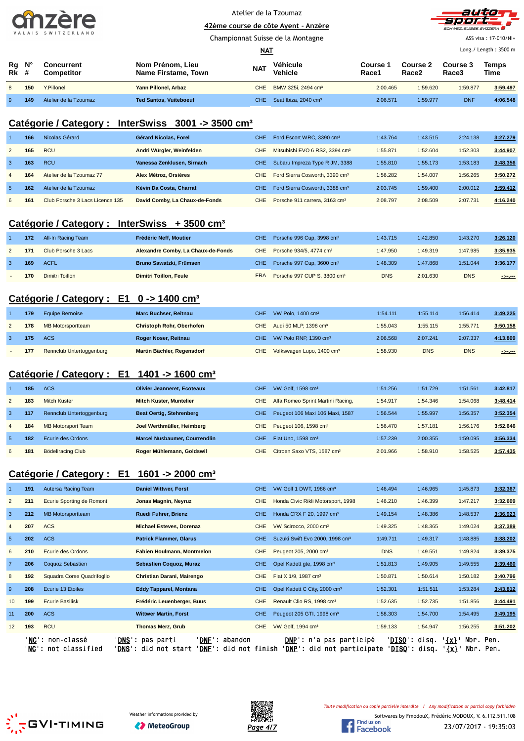



Championnat Suisse de la Montagne

ASS visa : 17-010/NI+

| <u>NAT</u>        |     |                          |                                         |                 |                                  | Long. / Length: $3500$ m |                                      |                   |               |
|-------------------|-----|--------------------------|-----------------------------------------|-----------------|----------------------------------|--------------------------|--------------------------------------|-------------------|---------------|
| Rq<br><b>Rk</b> # | N°  | Concurrent<br>Competitor | Nom Prénom, Lieu<br>Name Firstame, Town | NA <sub>1</sub> | Véhicule<br><b>Vehicle</b>       | Course<br>Race1          | <b>Course 2</b><br>Race <sub>2</sub> | Course 3<br>Race3 | Temps<br>Time |
| 8                 | 150 | Y.Pillonel               | Yann Pillonel, Arbaz                    | CHE             | BMW 325i, 2494 cm <sup>3</sup>   | 2:00.465                 | 1:59.620                             | 1:59.877          | 3:59.497      |
| 9                 | 149 | Atelier de la Tzoumaz    | <b>Ted Santos, Vuiteboeuf</b>           | CHE .           | Seat Ibiza, 2040 cm <sup>3</sup> | 2:06.571                 | 1:59.977                             | <b>DNF</b>        | 4:06.548      |

### **Catégorie / Category : InterSwiss 3001 -> 3500 cm³**

|                | 166 | Nicolas Gérard                  | Gérard Nicolas, Forel          | CHE. | Ford Escort WRC, 3390 cm <sup>3</sup>      | 1:43.764 | 1:43.515 | 2:24.138 | 3:27.279 |
|----------------|-----|---------------------------------|--------------------------------|------|--------------------------------------------|----------|----------|----------|----------|
| 2              | 165 | <b>RCU</b>                      | Andri Würgler, Weinfelden      | CHE  | Mitsubishi EVO 6 RS2, 3394 cm <sup>3</sup> | 1:55.871 | 1:52.604 | 1:52.303 | 3:44.907 |
|                | 163 | <b>RCU</b>                      | Vanessa Zenklusen, Sirnach     | CHE. | Subaru Impreza Type R JM, 3388             | 1:55.810 | 1:55.173 | 1:53.183 | 3:48.356 |
| $\overline{4}$ | 164 | Atelier de la Tzoumaz 77        | Alex Métroz, Orsières          | CHE. | Ford Sierra Cosworth, 3390 cm <sup>3</sup> | 1:56.282 | 1:54.007 | 1:56.265 | 3:50.272 |
| -5             | 162 | Atelier de la Tzoumaz           | Kévin Da Costa, Charrat        | CHE. | Ford Sierra Cosworth, 3388 cm <sup>3</sup> | 2:03.745 | 1:59.400 | 2:00.012 | 3:59.412 |
| 6              | 161 | Club Porsche 3 Lacs Licence 135 | David Comby, La Chaux-de-Fonds | CHE. | Porsche 911 carrera, 3163 cm <sup>3</sup>  | 2:08.797 | 2:08.509 | 2:07.731 | 4:16.240 |

## **Catégorie / Category : InterSwiss + 3500 cm³**

| 172 | All-In Racing Team  | Frédéric Neff. Moutier             |            | CHE Porsche 996 Cup, 3998 cm <sup>3</sup> | 1:43.715   | 1:42.850 | 1:43.270   | 3:26.120 |
|-----|---------------------|------------------------------------|------------|-------------------------------------------|------------|----------|------------|----------|
| 171 | Club Porsche 3 Lacs | Alexandre Comby, La Chaux-de-Fonds |            | CHE Porsche 934/5, 4774 cm <sup>3</sup>   | 1:47.950   | 1:49.319 | 1:47.985   | 3:35.935 |
| 169 | <b>ACFL</b>         | Bruno Sawatzki, Frümsen            |            | CHE Porsche 997 Cup, 3600 cm <sup>3</sup> | 1:48.309   | 1:47.868 | 1:51.044   | 3:36.177 |
| 170 | Dimitri Toillon     | <b>Dimitri Toillon, Feule</b>      | <b>FRA</b> | Porsche 997 CUP S, 3800 cm <sup>3</sup>   | <b>DNS</b> | 2:01.630 | <b>DNS</b> | 120,000  |

## **Catégorie / Category : E1 0 -> 1400 cm³**

| 179 | Equipe Bernoise          | <b>Marc Buchser, Reitnau</b>     |      | CHE VW Polo, 1400 cm <sup>3</sup>     | 1:54.111 | 1:55.114   | 1:56.414   | 3:49.225                                                                                                             |
|-----|--------------------------|----------------------------------|------|---------------------------------------|----------|------------|------------|----------------------------------------------------------------------------------------------------------------------|
| 178 | <b>MB</b> Motorsportteam | <b>Christoph Rohr, Oberhofen</b> |      | CHE Audi 50 MLP, 1398 cm <sup>3</sup> | 1:55.043 | 1:55.115   | 1:55.771   | 3:50.158                                                                                                             |
| 175 | <b>ACS</b>               | Roger Noser, Reitnau             |      | CHE VW Polo RNP, 1390 cm <sup>3</sup> | 2:06.568 | 2:07.241   | 2:07.337   | 4:13.809                                                                                                             |
| 177 | Rennclub Untertoggenburg | Martin Bächler, Regensdorf       | CHE. | Volkswagen Lupo, 1400 cm <sup>3</sup> | 1:58.930 | <b>DNS</b> | <b>DNS</b> | <u> 1999 - 1999 - 1999 - 1999 - 1999 - 1999 - 1999 - 1999 - 1999 - 1999 - 1999 - 1999 - 1999 - 1999 - 1999 - 199</u> |

#### **Catégorie / Category : E1 1401 -> 1600 cm³**

|                | 185 | <b>ACS</b>                | <b>Olivier Jeanneret, Ecoteaux</b>   | CHE. | VW Golf, 1598 cm <sup>3</sup>          | 1:51.256 | 1:51.729 | 1:51.561 | 3:42.817 |
|----------------|-----|---------------------------|--------------------------------------|------|----------------------------------------|----------|----------|----------|----------|
| 2              | 183 | Mitch Kuster              | <b>Mitch Kuster, Muntelier</b>       | CHE. | Alfa Romeo Sprint Martini Racing,      | 1:54.917 | 1:54.346 | 1:54.068 | 3:48.414 |
| 3              | 117 | Rennclub Untertoggenburg  | <b>Beat Oertig, Stehrenberg</b>      | CHE. | Peugeot 106 Maxi 106 Maxi, 1587        | 1:56.544 | 1:55.997 | 1:56.357 | 3:52.354 |
| $\overline{4}$ | 184 | <b>MB Motorsport Team</b> | Joel Werthmüller, Heimberg           | CHE  | Peugeot 106, 1598 cm <sup>3</sup>      | 1:56.470 | 1:57.181 | 1:56.176 | 3:52.646 |
| $\overline{5}$ | 182 | Ecurie des Ordons         | <b>Marcel Nusbaumer, Courrendlin</b> | CHE. | Fiat Uno. 1598 cm <sup>3</sup>         | 1:57.239 | 2:00.355 | 1:59.095 | 3:56.334 |
| 6              | 181 | <b>Bödeliracing Club</b>  | Roger Mühlemann, Goldswil            | CHE. | Citroen Saxo VTS, 1587 cm <sup>3</sup> | 2:01.966 | 1:58.910 | 1:58.525 | 3:57.435 |

#### **Catégorie / Category : E1 1601 -> 2000 cm³**

| $\overline{1}$  | 191    | Autersa Racing Team                   | <b>Daniel Wittwer, Forst</b>                                                                             | <b>CHE</b> | VW Golf 1 DWT, 1986 cm <sup>3</sup>                                      | 1:46.494                                        | 1:46.965               | 1:45.873          | 3:32.367 |
|-----------------|--------|---------------------------------------|----------------------------------------------------------------------------------------------------------|------------|--------------------------------------------------------------------------|-------------------------------------------------|------------------------|-------------------|----------|
| $\overline{2}$  | 211    | Ecurie Sporting de Romont             | Jonas Magnin, Neyruz                                                                                     | <b>CHE</b> | Honda Civic Rikli Motorsport, 1998                                       | 1:46.210                                        | 1:46.399               | 1:47.217          | 3:32.609 |
| 3               | 212    | <b>MB</b> Motorsportteam              | <b>Ruedi Fuhrer, Brienz</b>                                                                              | <b>CHE</b> | Honda CRX F 20, 1997 cm <sup>3</sup>                                     | 1:49.154                                        | 1:48.386               | 1:48.537          | 3:36.923 |
| $\overline{4}$  | 207    | <b>ACS</b>                            | <b>Michael Esteves, Dorenaz</b>                                                                          | <b>CHE</b> | VW Scirocco, 2000 cm <sup>3</sup>                                        | 1:49.325                                        | 1:48.365               | 1:49.024          | 3:37.389 |
| $5\phantom{.0}$ | 202    | <b>ACS</b>                            | <b>Patrick Flammer, Glarus</b>                                                                           | <b>CHE</b> | Suzuki Swift Evo 2000, 1998 cm <sup>3</sup>                              | 1:49.711                                        | 1:49.317               | 1:48.885          | 3:38.202 |
| 6               | 210    | Ecurie des Ordons                     | <b>Fabien Houlmann, Montmelon</b>                                                                        | <b>CHE</b> | Peugeot 205, 2000 cm <sup>3</sup>                                        | <b>DNS</b>                                      | 1:49.551               | 1:49.824          | 3:39.375 |
| $\overline{7}$  | 206    | Coquoz Sebastien                      | <b>Sebastien Coquoz, Muraz</b>                                                                           | <b>CHE</b> | Opel Kadett gte, 1998 cm <sup>3</sup>                                    | 1:51.813                                        | 1:49.905               | 1:49.555          | 3:39.460 |
| 8               | 192    | Squadra Corse Quadrifoglio            | Christian Darani, Mairengo                                                                               | <b>CHE</b> | Fiat X 1/9, 1987 cm <sup>3</sup>                                         | 1:50.871                                        | 1:50.614               | 1:50.182          | 3:40.796 |
| 9               | 208    | Ecurie 13 Etoiles                     | <b>Eddy Tapparel, Montana</b>                                                                            | CHE.       | Opel Kadett C City, 2000 cm <sup>3</sup>                                 | 1:52.301                                        | 1:51.511               | 1:53.284          | 3:43.812 |
| 10              | 199    | <b>Ecurie Basilisk</b>                | Frédéric Leuenberger, Buus                                                                               | <b>CHE</b> | Renault Clio RS, 1998 cm <sup>3</sup>                                    | 1:52.635                                        | 1:52.735               | 1:51.856          | 3:44.491 |
| 11              | 200    | <b>ACS</b>                            | <b>Wittwer Martin, Forst</b>                                                                             | <b>CHE</b> | Peugeot 205 GTI, 1998 cm <sup>3</sup>                                    | 1:58.303                                        | 1:54.700               | 1:54.495          | 3:49.195 |
| 12              | 193    | <b>RCU</b>                            | <b>Thomas Merz, Grub</b>                                                                                 | <b>CHE</b> | VW Golf, 1994 cm <sup>3</sup>                                            | 1:59.133                                        | 1:54.947               | 1:56.255          | 3:51.202 |
|                 | ' NC ' | 'NC': non-classé<br>': not classified | ' <b>DNS':</b> pas parti<br>'DNF': abandon<br>' <b>DNS</b> ': did not start<br>' DNF '<br>did not finish |            | ' <b>DNP</b> ': n'a pas participé<br>' <b>DNP</b> ': did not participate | ' <b>DISQ':</b> disq.<br>' <b>DISQ</b> ': disq. | $\{x\}$<br>$'$ {x} $'$ | Nbr.<br>Nbr. Pen. | Pen.     |





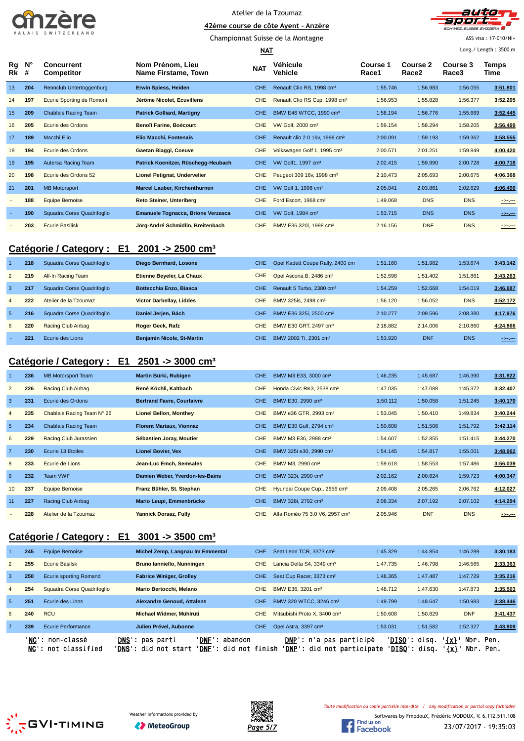



Championnat Suisse de la Montagne

ASS visa : 17-010/NI+ Long./ Length : 3500 m

|                 | <b>NAT</b> |                                        |                                           |            |                                            |                   | Long. / Length: $3500$ m |                   |                      |
|-----------------|------------|----------------------------------------|-------------------------------------------|------------|--------------------------------------------|-------------------|--------------------------|-------------------|----------------------|
| Rg<br>$Rk$ #    | N°         | <b>Concurrent</b><br><b>Competitor</b> | Nom Prénom, Lieu<br>Name Firstame, Town   | <b>NAT</b> | Véhicule<br>Vehicle                        | Course 1<br>Race1 | Course 2<br>Race2        | Course 3<br>Race3 | Temps<br>Time        |
| 13              | 204        | Rennclub Untertoggenburg               | Erwin Spiess, Heiden                      | <b>CHE</b> | Renault Clio RS, 1998 cm <sup>3</sup>      | 1:55.746          | 1:56.983                 | 1:56.055          | 3:51.801             |
| 14              | 197        | Ecurie Sporting de Romont              | Jérôme Nicolet, Ecuvillens                | <b>CHE</b> | Renault Clio RS Cup, 1998 cm <sup>3</sup>  | 1:56.953          | 1:55.828                 | 1:56.377          | 3:52.205             |
| 15 <sub>1</sub> | 209        | Chablais Racing Team                   | <b>Patrick Golliard, Martigny</b>         | <b>CHE</b> | BMW E46 WTCC, 1990 cm <sup>3</sup>         | 1:58.194          | 1:56.776                 | 1:55.669          | 3:52.445             |
| 16              | 205        | Ecurie des Ordons                      | <b>Benoît Farine, Boécourt</b>            | <b>CHE</b> | VW Golf, 2000 cm <sup>3</sup>              | 1:59.154          | 1:58.294                 | 1:58.205          | 3:56.499             |
| 17              | 189        | Macchi Elio                            | Elio Macchi, Fontenais                    | <b>CHE</b> | Renault clio 2.0 16v, 1998 cm <sup>3</sup> | 2:00.091          | 1:59.193                 | 1:59.362          | 3:58.555             |
| 18              | 194        | Ecurie des Ordons                      | Gaetan Biaggi, Coeuve                     | <b>CHE</b> | Volkswagen Golf 1, 1995 cm <sup>3</sup>    | 2:00.571          | 2:01.251                 | 1:59.849          | 4:00.420             |
| 19              | 195        | Autersa Racing Team                    | Patrick Koenitzer, Rüschegg-Heubach       | CHE.       | VW Golf1, 1997 cm <sup>3</sup>             | 2:02.415          | 1:59.990                 | 2:00.728          | 4:00.718             |
| 20              | 198        | Ecurie des Ordons 52                   | <b>Lionel Petignat, Undervelier</b>       | <b>CHE</b> | Peugeot 309 16v, 1998 cm <sup>3</sup>      | 2:10.473          | 2:05.693                 | 2:00.675          | 4:06.368             |
| 21              | 201        | <b>MB Motorsport</b>                   | <b>Marcel Lauber, Kirchenthurnen</b>      | CHE.       | VW Golf 1, 1998 cm <sup>3</sup>            | 2:05.041          | 2:03.861                 | 2:02.629          | 4:06.490             |
|                 | 188        | <b>Equipe Bernoise</b>                 | <b>Reto Steiner, Unteriberg</b>           | <b>CHE</b> | Ford Escort, 1968 cm <sup>3</sup>          | 1:49.068          | <b>DNS</b>               | <b>DNS</b>        | $-100$               |
|                 | 190        | Squadra Corse Quadrifoglio             | <b>Emanuele Tognacca, Brione Verzasca</b> | CHE.       | VW Golf, 1984 cm <sup>3</sup>              | 1:53.715          | <b>DNS</b>               | <b>DNS</b>        | $-200$               |
|                 | 203        | <b>Ecurie Basilisk</b>                 | Jörg-André Schmidlin, Breitenbach         | <b>CHE</b> | BMW E36 320i, 1998 cm <sup>3</sup>         | 2:16.156          | <b>DNF</b>               | <b>DNS</b>        | $-1 - 1 - 1 - 1 = 0$ |

### **Catégorie / Category : E1 2001 -> 2500 cm³**

|                | 218 | Squadra Corse Quadrifoglio | Diego Bernhard, Losone            | CHE.       | Opel Kadett Coupe Rally, 2400 cm      | 1:51.160 | 1:51.982   | 1:53.674   | 3:43.142              |
|----------------|-----|----------------------------|-----------------------------------|------------|---------------------------------------|----------|------------|------------|-----------------------|
| 2              | 219 | All-In Racing Team         | Etienne Beyeler, La Chaux         | CHE.       | Opel Ascona B, 2486 cm <sup>3</sup>   | 1:52.598 | 1:51.402   | 1:51.861   | 3:43.263              |
| 3              | 217 | Squadra Corse Quadrifoglio | Bottecchia Enzo, Biasca           | <b>CHE</b> | Renault 5 Turbo, 2380 cm <sup>3</sup> | 1:54.259 | 1:52.668   | 1:54.019   | 3:46.687              |
| $\overline{4}$ | 222 | Atelier de la Tzoumaz      | <b>Victor Darbellay, Liddes</b>   | CHE        | BMW 325is, 2498 cm <sup>3</sup>       | 1:56.120 | 1:56.052   | <b>DNS</b> | 3:52.172              |
| -5             | 216 | Squadra Corse Quadrifoglio | Daniel Jerjen, Bäch               | <b>CHE</b> | BMW E36 325i, 2500 cm <sup>3</sup>    | 2:10.277 | 2:09.596   | 2:08.380   | 4:17.976              |
| 6              | 220 | Racing Club Airbag         | Roger Geck, Rafz                  | CHE        | BMW E30 GRT, 2497 cm <sup>3</sup>     | 2:18.882 | 2:14.006   | 2:10.860   | 4:24.866              |
|                | 221 | Ecurie des Lions           | <b>Benjamin Nicole, St-Martin</b> | CHE        | BMW 2002 Ti, 2301 cm <sup>3</sup>     | 1:53.920 | <b>DNF</b> | <b>DNS</b> | <b>School Section</b> |

## **Catégorie / Category : E1 2501 -> 3000 cm³**

|                | 236 | <b>MB Motorsport Team</b>   | Martin Bürki, Rubigen             | <b>CHE</b> | BMW M3 E33, 3000 cm <sup>3</sup>           | 1:46.235 | 1:45.687   | 1:46.390   | 3:31.922 |
|----------------|-----|-----------------------------|-----------------------------------|------------|--------------------------------------------|----------|------------|------------|----------|
| 2              | 226 | Racing Club Airbag          | René Köchli, Kaltbach             | <b>CHE</b> | Honda Civic RK3, 2538 cm <sup>3</sup>      | 1:47.035 | 1:47.088   | 1:45.372   | 3:32.407 |
| 3              | 231 | Ecurie des Ordons           | <b>Bertrand Favre, Courfaivre</b> | <b>CHE</b> | BMW E30, 2990 cm <sup>3</sup>              | 1:50.112 | 1:50.058   | 1:51.245   | 3:40.170 |
| $\overline{4}$ | 235 | Chablais Racing Team N° 26  | <b>Lionel Bellon, Monthey</b>     | <b>CHE</b> | BMW e36 GTR, 2993 cm <sup>3</sup>          | 1:53.045 | 1:50.410   | 1:49.834   | 3:40.244 |
| 5              | 234 | <b>Chablais Racing Team</b> | <b>Florent Mariaux, Vionnaz</b>   | <b>CHE</b> | BMW E30 Gulf, 2794 cm <sup>3</sup>         | 1:50.608 | 1:51.506   | 1:51.792   | 3:42.114 |
| 6              | 229 | Racing Club Jurassien       | Sébastien Joray, Moutier          | <b>CHE</b> | BMW M3 E36, 2988 cm <sup>3</sup>           | 1:54.607 | 1:52.855   | 1:51.415   | 3:44.270 |
| $\overline{7}$ | 230 | Ecurie 13 Etoiles           | <b>Lionel Bovier, Vex</b>         | <b>CHE</b> | BMW 325i e30, 2990 cm <sup>3</sup>         | 1:54.145 | 1:54.817   | 1:55.001   | 3:48.962 |
| 8              | 233 | Ecurie de Lions             | Jean-Luc Emch, Semsales           | <b>CHE</b> | BMW M3, 2990 cm <sup>3</sup>               | 1:59.618 | 1:58.553   | 1:57.486   | 3:56.039 |
| 9              | 232 | <b>Team VWF</b>             | Damien Weber, Yverdon-les-Bains   | <b>CHE</b> | BMW 323i, 2990 cm <sup>3</sup>             | 2:02.162 | 2:00.624   | 1:59.723   | 4:00.347 |
| 10             | 237 | Equipe Bernoise             | Franz Bühler, St. Stephan         | <b>CHE</b> | Hyundai Coupe Cup., 2656 cm <sup>3</sup>   | 2:09.408 | 2:05.265   | 2:06.762   | 4:12.027 |
| 11             | 227 | Racing Club Airbag          | Mario Leupi, Emmenbrücke          | <b>CHE</b> | BMW 328i, 2792 cm <sup>3</sup>             | 2:08.334 | 2:07.192   | 2:07.102   | 4:14.294 |
|                | 228 | Atelier de la Tzoumaz       | Yannick Dorsaz, Fully             | <b>CHE</b> | Alfa Roméo 75 3.0 V6, 2957 cm <sup>3</sup> | 2:05.946 | <b>DNF</b> | <b>DNS</b> | 120,000  |

# **Catégorie / Category : E1 3001 -> 3500 cm³**

|                | 245 | <b>Equipe Bernoise</b>                  | Michel Zemp, Langnau Im Emmental                                                                                  | CHE.       | Seat Leon TCR, 3373 cm <sup>3</sup>                                   | 1:45.329                                      | 1:44.854           | 1:46.289               | 3:30.183 |
|----------------|-----|-----------------------------------------|-------------------------------------------------------------------------------------------------------------------|------------|-----------------------------------------------------------------------|-----------------------------------------------|--------------------|------------------------|----------|
| 2              | 255 | <b>Ecurie Basilsk</b>                   | Bruno lanniello, Nunningen                                                                                        | CHE.       | Lancia Delta S4, 3349 cm <sup>3</sup>                                 | 1:47.735                                      | 1:46.798           | 1:46.565               | 3:33.363 |
| -3             | 250 | Ecurie sporting Romand                  | <b>Fabrice Winiger, Grolley</b>                                                                                   | <b>CHE</b> | Seat Cup Racer, 3373 cm <sup>3</sup>                                  | 1:48.365                                      | 1:47.487           | 1:47.729               | 3:35.216 |
| $\overline{4}$ | 254 | Squadra Corse Quadrifoglio              | <b>Mario Bertocchi, Melano</b>                                                                                    | <b>CHE</b> | BMW E36, 3201 cm <sup>3</sup>                                         | 1:48.712                                      | 1:47.630           | 1:47.873               | 3:35.503 |
| $5^{\circ}$    | 251 | Ecurie des Lions                        | <b>Alexandre Genoud, Attalens</b>                                                                                 | <b>CHE</b> | BMW 320 WTCC, 3246 cm <sup>3</sup>                                    | 1:49.799                                      | 1:48.647           | 1:50.983               | 3:38.446 |
| 6              | 240 | <b>RCU</b>                              | Michael Widmer, Mühlrüti                                                                                          | <b>CHE</b> | Mitsubishi Proto X, 3400 cm <sup>3</sup>                              | 1:50.608                                      | 1:50.829           | <b>DNF</b>             | 3:41.437 |
| $\overline{7}$ | 239 | <b>Ecurie Performance</b>               | Julien Prével, Aubonne                                                                                            | CHE.       | Opel Astra, 3397 cm <sup>3</sup>                                      | 1:53.031                                      | 1:51.582           | 1:52.327               | 3:43.909 |
|                |     | 'NC': non-classé<br>NC': not classified | ' <b>DNS</b> ': pas parti<br>'DNF' :<br>abandon<br>' <b>DNS</b> ': did not start<br>' <b>DNF':</b> did not finish |            | <b>DNP':</b> n'a pas participé<br>' <b>DNP</b> ': did not participate | <b>DISO':</b> disq.<br>' <b>DISO</b> ': disq. | $\{x\}$<br>$\{x\}$ | Nbr. Pen.<br>Nbr. Pen. |          |



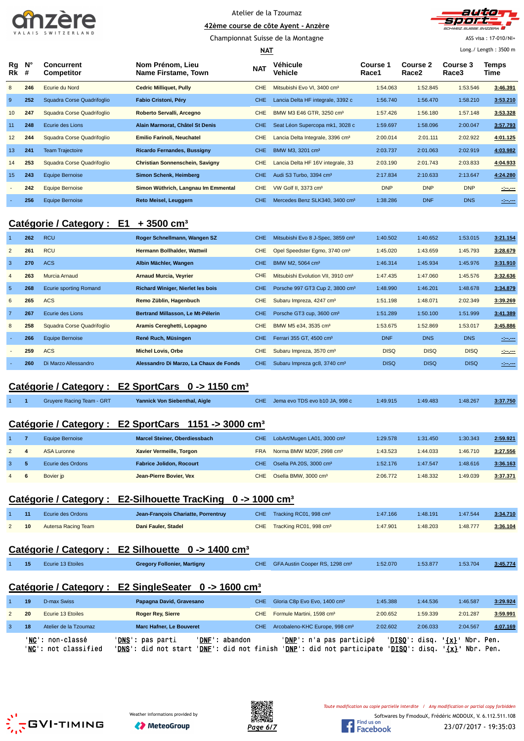



Championnat Suisse de la Montagne

ASS visa : 17-010/NI+ Long./ Length : 3500 m

|                          |     |                                 |                                         | Long. / Length: $3500$ m |                                              |                          |                               |                   |                      |
|--------------------------|-----|---------------------------------|-----------------------------------------|--------------------------|----------------------------------------------|--------------------------|-------------------------------|-------------------|----------------------|
| Rg<br>Rk #               | Ν°  | <b>Concurrent</b><br>Competitor | Nom Prénom, Lieu<br>Name Firstame, Town | <b>NAT</b>               | Véhicule<br><b>Vehicle</b>                   | <b>Course 1</b><br>Race1 | Course 2<br>Race <sub>2</sub> | Course 3<br>Race3 | <b>Temps</b><br>Time |
| 8                        | 246 | Ecurie du Nord                  | <b>Cedric Milliquet, Pully</b>          | <b>CHE</b>               | Mitsubishi Evo VI, 3400 cm <sup>3</sup>      | 1:54.063                 | 1:52.845                      | 1:53.546          | 3:46.391             |
| 9                        | 252 | Squadra Corse Quadrifoglio      | Fabio Cristoni, Péry                    | <b>CHE</b>               | Lancia Delta HF integrale, 3392 c            | 1:56.740                 | 1:56.470                      | 1:58.210          | 3:53.210             |
| 10                       | 247 | Squadra Corse Quadrifoglio      | Roberto Servalli, Arcegno               | <b>CHE</b>               | BMW M3 E46 GTR, 3250 cm <sup>3</sup>         | 1:57.426                 | 1:56.180                      | 1:57.148          | 3:53.328             |
| 11                       | 248 | Ecurie des Lions                | Alain Marmorat, Châtel St Denis         | <b>CHE</b>               | Seat Léon Supercopa mk1, 3028 c              | 1:59.697                 | 1:58.096                      | 2:00.047          | 3:57.793             |
| 12                       | 244 | Squadra Corse Quadrifoglio      | <b>Emilio Farinoli, Neuchatel</b>       | <b>CHE</b>               | Lancia Delta Integrale, 3396 cm <sup>3</sup> | 2:00.014                 | 2:01.111                      | 2:02.922          | 4:01.125             |
| 13                       | 241 | <b>Team Trajectoire</b>         | <b>Ricardo Fernandes, Bussigny</b>      | <b>CHE</b>               | BMW M3, 3201 cm <sup>3</sup>                 | 2:03.737                 | 2:01.063                      | 2:02.919          | 4:03.982             |
| 14                       | 253 | Squadra Corse Quadrifoglio      | <b>Christian Sonnenschein, Savigny</b>  | <b>CHE</b>               | Lancia Delta HF 16V integrale, 33            | 2:03.190                 | 2:01.743                      | 2:03.833          | 4:04.933             |
| 15                       | 243 | Equipe Bernoise                 | Simon Schenk, Heimberg                  | <b>CHE</b>               | Audi S3 Turbo, 3394 cm <sup>3</sup>          | 2:17.834                 | 2:10.633                      | 2:13.647          | 4:24.280             |
| $\overline{\phantom{a}}$ | 242 | <b>Equipe Bernoise</b>          | Simon Wüthrich, Langnau Im Emmental     | <b>CHE</b>               | VW Golf II, 3373 cm <sup>3</sup>             | <b>DNP</b>               | <b>DNP</b>                    | <b>DNP</b>        | 120,000              |
|                          | 256 | Equipe Bernoise                 | <b>Reto Meisel, Leuggern</b>            | <b>CHE</b>               | Mercedes Benz SLK340, 3400 cm <sup>3</sup>   | 1:38.286                 | <b>DNF</b>                    | <b>DNS</b>        | $-1 - 1 - 1 - 1 = 0$ |

### **Catégorie / Category : E1 + 3500 cm³**

|                          | 262 | <b>RCU</b>                    | Roger Schnellmann, Wangen SZ             | <b>CHE</b> | Mitsubishi Evo 8 J-Spec, 3859 cm <sup>3</sup>  | 1:40.502    | 1:40.652    | 1:53.015    | 3:21.154             |
|--------------------------|-----|-------------------------------|------------------------------------------|------------|------------------------------------------------|-------------|-------------|-------------|----------------------|
| $\overline{2}$           | 261 | <b>RCU</b>                    | Hermann Bollhalder, Wattwil              | <b>CHE</b> | Opel Speedster Egmo, 3740 cm <sup>3</sup>      | 1:45.020    | 1:43.659    | 1:45.793    | 3:28.679             |
| 3                        | 270 | <b>ACS</b>                    | Albin Mächler, Wangen                    | <b>CHE</b> | BMW M2, 5064 cm <sup>3</sup>                   | 1:46.314    | 1:45.934    | 1:45.976    | 3:31.910             |
| $\overline{4}$           | 263 | Murcia Arnaud                 | <b>Arnaud Murcia, Veyrier</b>            | <b>CHE</b> | Mitsubishi Evolution VII, 3910 cm <sup>3</sup> | 1:47.435    | 1:47.060    | 1:45.576    | 3:32.636             |
| 5                        | 268 | <b>Ecurie sporting Romand</b> | <b>Richard Winiger, Nierlet les bois</b> | CHE.       | Porsche 997 GT3 Cup 2, 3800 cm <sup>3</sup>    | 1:48.990    | 1:46.201    | 1:48.678    | 3:34.879             |
| 6                        | 265 | <b>ACS</b>                    | Remo Züblin, Hagenbuch                   | <b>CHE</b> | Subaru Impreza, 4247 cm <sup>3</sup>           | 1:51.198    | 1:48.071    | 2:02.349    | 3:39.269             |
| $\overline{7}$           | 267 | Ecurie des Lions              | Bertrand Millasson, Le Mt-Pélerin        | CHE.       | Porsche GT3 cup, 3600 cm <sup>3</sup>          | 1:51.289    | 1:50.100    | 1:51.999    | 3:41.389             |
| 8                        | 258 | Squadra Corse Quadrifoglio    | Aramis Cereghetti, Lopagno               | <b>CHE</b> | BMW M5 e34, 3535 cm <sup>3</sup>               | 1:53.675    | 1:52.869    | 1:53.017    | 3:45.886             |
|                          | 266 | Equipe Bernoise               | René Ruch, Müsingen                      | CHE.       | Ferrari 355 GT, 4500 cm <sup>3</sup>           | <b>DNF</b>  | <b>DNS</b>  | <b>DNS</b>  | $-200$               |
| $\overline{\phantom{a}}$ | 259 | <b>ACS</b>                    | <b>Michel Lovis, Orbe</b>                | <b>CHE</b> | Subaru Impreza, 3570 cm <sup>3</sup>           | <b>DISQ</b> | <b>DISQ</b> | <b>DISQ</b> | $-200$               |
|                          | 260 | Di Marzo Allessandro          | Alessandro Di Marzo, La Chaux de Fonds   | CHE.       | Subaru Impreza gc8, 3740 cm <sup>3</sup>       | <b>DISQ</b> | <b>DISQ</b> | <b>DISQ</b> | $-2 - 1 - 1 - 1 = 0$ |

## **Catégorie / Category : E2 SportCars 0 -> 1150 cm³**

|                                                                         |              | Gruyere Racing Team - GRT | Yannick Von Siebenthal, Aigle                 | <b>CHE</b> | Jema evo TDS evo b10 JA, 998 c          | 1:49.915 | 1:49.483 | 1:48.267 | 3:37.750 |  |
|-------------------------------------------------------------------------|--------------|---------------------------|-----------------------------------------------|------------|-----------------------------------------|----------|----------|----------|----------|--|
|                                                                         |              | Catégorie / Category :    | E2 SportCars $1151 \div 3000$ cm <sup>3</sup> |            |                                         |          |          |          |          |  |
|                                                                         | $\mathbf{7}$ | <b>Equipe Bernoise</b>    | <b>Marcel Steiner, Oberdiessbach</b>          | <b>CHE</b> | LobArt/Mugen LA01, 3000 cm <sup>3</sup> | 1:29.578 | 1:31.450 | 1:30.343 | 2:59.921 |  |
| $\overline{2}$                                                          |              | <b>ASA Luronne</b>        | Xavier Vermeille, Torgon                      | <b>FRA</b> | Norma BMW M20F, 2998 cm <sup>3</sup>    | 1:43.523 | 1:44.033 | 1:46.710 | 3:27.556 |  |
| 3                                                                       | 5            | Ecurie des Ordons         | <b>Fabrice Jolidon, Rocourt</b>               | <b>CHE</b> | Osella PA 20S, 3000 cm <sup>3</sup>     | 1:52.176 | 1:47.547 | 1:48.616 | 3:36.163 |  |
| $\overline{4}$                                                          | 6            | <b>Bovier</b> jp          | Jean-Pierre Bovier, Vex                       | <b>CHE</b> | Osella BMW, 3000 cm <sup>3</sup>        | 2:06.772 | 1:48.332 | 1:49.039 | 3:37.371 |  |
| Catégorie / Category : E2-Silhouette TracKing 0 -> 1000 cm <sup>3</sup> |              |                           |                                               |            |                                         |          |          |          |          |  |
|                                                                         | 11           | Ecurie des Ordons         | Jean-François Chariatte, Porrentruy           | <b>CHE</b> | Tracking RC01, 998 cm <sup>3</sup>      | 1:47.166 | 1:48.191 | 1:47.544 | 3:34.710 |  |
| $\overline{2}$                                                          | 10           | Autersa Racing Team       | Dani Fauler, Stadel                           | <b>CHE</b> | TracKing RC01, 998 cm <sup>3</sup>      | 1:47.901 | 1:48.203 | 1:48.777 | 3:36.104 |  |

## **Catégorie / Category : E2 Silhouette 0 -> 1400 cm³**

|  |  | <b>15</b> Ecurie 13 Etoiles | <b>Gregory Follonier, Martigny</b> |  | CHE GFA Austin Cooper RS, 1298 cm <sup>3</sup> | 1:52.070 | 1:53.877 | 1:53.704 | 3:45.774 |
|--|--|-----------------------------|------------------------------------|--|------------------------------------------------|----------|----------|----------|----------|
|--|--|-----------------------------|------------------------------------|--|------------------------------------------------|----------|----------|----------|----------|

## **Catégorie / Category : E2 SingleSeater 0 -> 1600 cm³**

|              | 19 | D-max Swiss                              | Papagna David, Gravesano                                                                                     | <b>CHE</b> | Gloria C8p Evo Evo, 1400 cm <sup>3</sup>               | 1:45.388                   | 1:44.536 | 1:46.587                                         | 3:29.924 |
|--------------|----|------------------------------------------|--------------------------------------------------------------------------------------------------------------|------------|--------------------------------------------------------|----------------------------|----------|--------------------------------------------------|----------|
| $\mathbf{2}$ | 20 | Ecurie 13 Etoiles                        | <b>Roger Rey, Sierre</b>                                                                                     | CHE.       | Formule Martini, 1598 cm <sup>3</sup>                  | 2:00.652                   | 1:59.339 | 2:01.287                                         | 3:59.991 |
|              | 18 | Atelier de la Tzoumaz                    | <b>Marc Hafner, Le Bouveret</b>                                                                              |            | CHE Arcobaleno-KHC Europe, 998 cm <sup>3</sup>         | 2:02.602                   | 2:06.033 | 2:04.567                                         | 4:07.169 |
|              |    | 'NC': non-classé<br>'NC': not classified | ' <b>DNS</b> ': pas parti<br>'DNF' :<br>': abandon<br>'DNS': did not start<br>' <b>DNF</b> ': did not finish |            | 'DNP': n'a pas participé<br>'DNP': did not participate | $'DISO':$ disq.<br>'DISQ': | disq.    | Nbr. Pen.<br>$\{x\}$<br>$'$ {x} $'$<br>Nbr. Pen. |          |